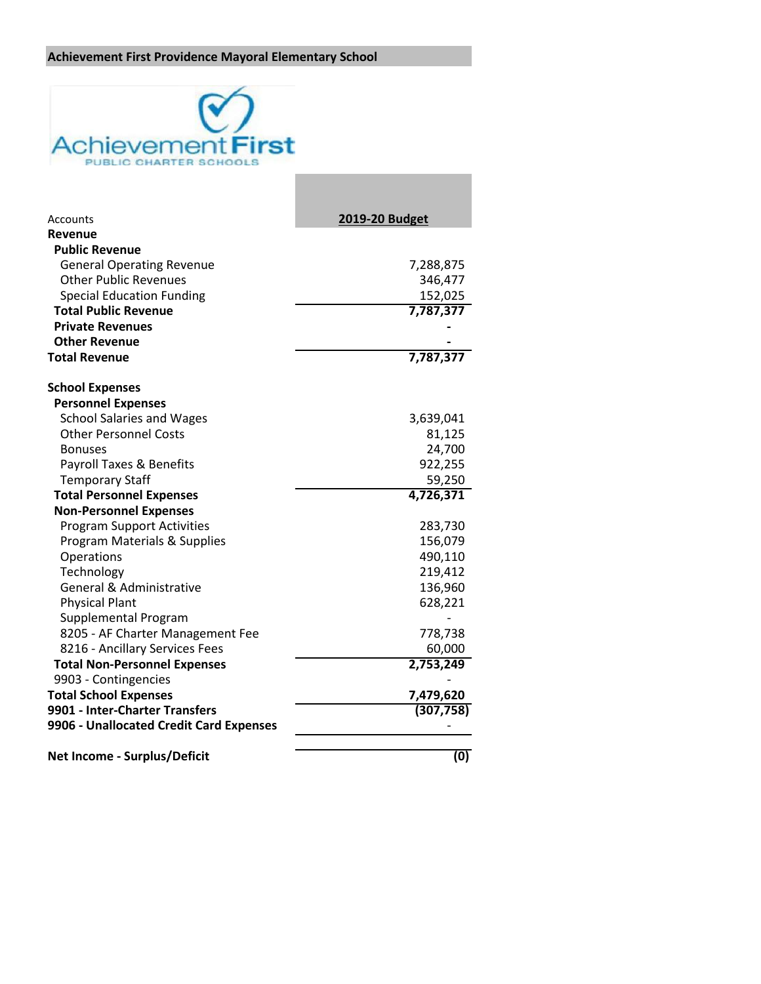## **Achievement First Providence Mayoral Elementary School**



| Accounts                                | 2019-20 Budget |
|-----------------------------------------|----------------|
| Revenue                                 |                |
| <b>Public Revenue</b>                   |                |
| <b>General Operating Revenue</b>        | 7,288,875      |
| <b>Other Public Revenues</b>            | 346,477        |
| <b>Special Education Funding</b>        | 152,025        |
| <b>Total Public Revenue</b>             | 7,787,377      |
| <b>Private Revenues</b>                 |                |
| <b>Other Revenue</b>                    |                |
| <b>Total Revenue</b>                    | 7,787,377      |
| <b>School Expenses</b>                  |                |
| <b>Personnel Expenses</b>               |                |
| <b>School Salaries and Wages</b>        | 3,639,041      |
| <b>Other Personnel Costs</b>            | 81,125         |
| <b>Bonuses</b>                          | 24,700         |
| Payroll Taxes & Benefits                | 922,255        |
| <b>Temporary Staff</b>                  | 59,250         |
| <b>Total Personnel Expenses</b>         | 4,726,371      |
| <b>Non-Personnel Expenses</b>           |                |
| <b>Program Support Activities</b>       | 283,730        |
| Program Materials & Supplies            | 156,079        |
| Operations                              | 490,110        |
| Technology                              | 219,412        |
| General & Administrative                | 136,960        |
| <b>Physical Plant</b>                   | 628,221        |
| Supplemental Program                    |                |
| 8205 - AF Charter Management Fee        | 778,738        |
| 8216 - Ancillary Services Fees          | 60,000         |
| <b>Total Non-Personnel Expenses</b>     | 2,753,249      |
| 9903 - Contingencies                    |                |
| <b>Total School Expenses</b>            | 7,479,620      |
| 9901 - Inter-Charter Transfers          | (307, 758)     |
| 9906 - Unallocated Credit Card Expenses |                |
| <b>Net Income - Surplus/Deficit</b>     | (0)            |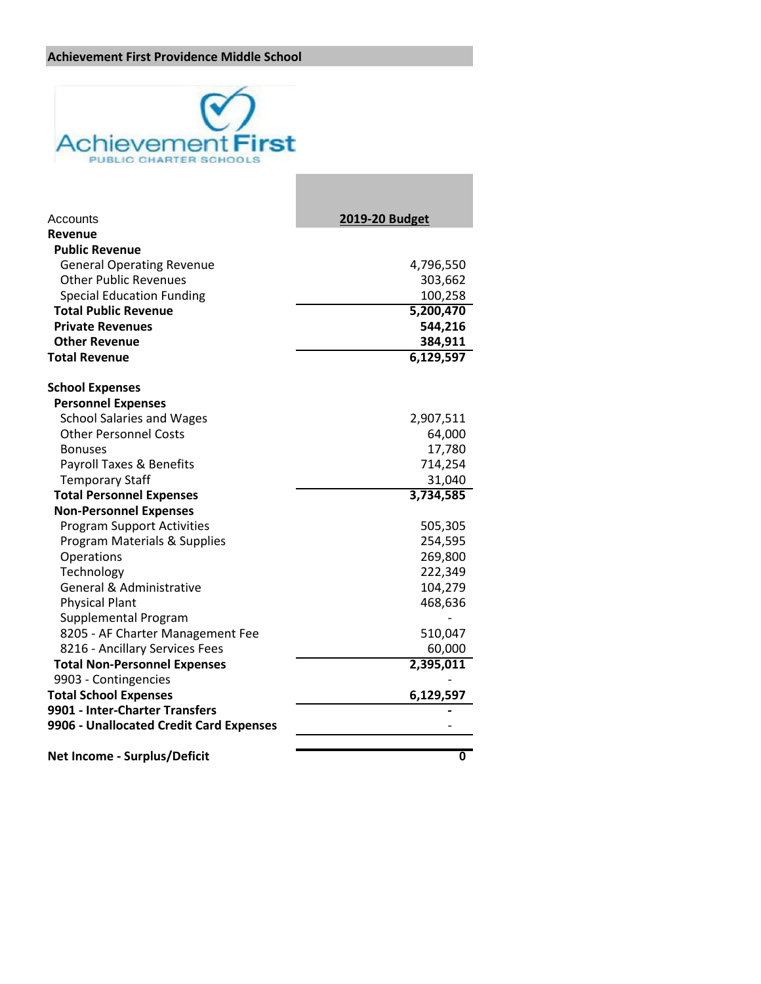## **Achievement First Providence Middle School**



| Accounts                                | <b>2019-20 Budget</b>   |
|-----------------------------------------|-------------------------|
| Revenue                                 |                         |
| <b>Public Revenue</b>                   |                         |
| <b>General Operating Revenue</b>        | 4,796,550               |
| <b>Other Public Revenues</b>            | 303,662                 |
| <b>Special Education Funding</b>        | 100,258                 |
| <b>Total Public Revenue</b>             | 5,200,470               |
| <b>Private Revenues</b>                 | 544,216                 |
| <b>Other Revenue</b>                    | 384,911                 |
| <b>Total Revenue</b>                    | 6,129,597               |
| <b>School Expenses</b>                  |                         |
| <b>Personnel Expenses</b>               |                         |
| <b>School Salaries and Wages</b>        | 2,907,511               |
| <b>Other Personnel Costs</b>            | 64,000                  |
| <b>Bonuses</b>                          | 17,780                  |
| <b>Payroll Taxes &amp; Benefits</b>     | 714,254                 |
| <b>Temporary Staff</b>                  | 31,040                  |
| <b>Total Personnel Expenses</b>         | 3,734,585               |
| <b>Non-Personnel Expenses</b>           |                         |
| <b>Program Support Activities</b>       | 505,305                 |
| Program Materials & Supplies            | 254,595                 |
| Operations                              | 269,800                 |
| Technology                              | 222,349                 |
| <b>General &amp; Administrative</b>     | 104,279                 |
| <b>Physical Plant</b>                   | 468,636                 |
| Supplemental Program                    |                         |
| 8205 - AF Charter Management Fee        | 510,047                 |
| 8216 - Ancillary Services Fees          | 60,000                  |
| <b>Total Non-Personnel Expenses</b>     | 2,395,011               |
| 9903 - Contingencies                    |                         |
| <b>Total School Expenses</b>            | 6,129,597               |
| 9901 - Inter-Charter Transfers          |                         |
| 9906 - Unallocated Credit Card Expenses |                         |
| <b>Net Income - Surplus/Deficit</b>     | $\overline{\textbf{0}}$ |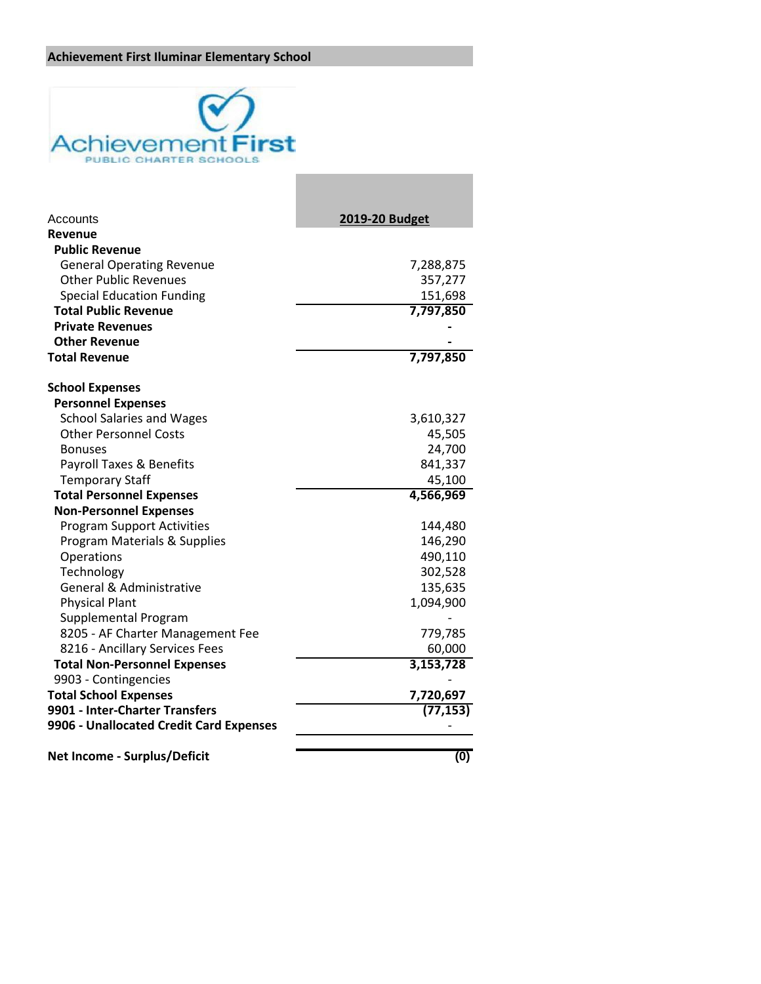## **Achievement First Iluminar Elementary School**



| Accounts                                | 2019-20 Budget |
|-----------------------------------------|----------------|
| Revenue                                 |                |
| <b>Public Revenue</b>                   |                |
| <b>General Operating Revenue</b>        | 7,288,875      |
| <b>Other Public Revenues</b>            | 357,277        |
| <b>Special Education Funding</b>        | 151,698        |
| <b>Total Public Revenue</b>             | 7,797,850      |
| <b>Private Revenues</b>                 |                |
| <b>Other Revenue</b>                    |                |
| <b>Total Revenue</b>                    | 7,797,850      |
| <b>School Expenses</b>                  |                |
| <b>Personnel Expenses</b>               |                |
| <b>School Salaries and Wages</b>        | 3,610,327      |
| <b>Other Personnel Costs</b>            | 45,505         |
| <b>Bonuses</b>                          | 24,700         |
| Payroll Taxes & Benefits                | 841,337        |
| <b>Temporary Staff</b>                  | 45,100         |
| <b>Total Personnel Expenses</b>         | 4,566,969      |
| <b>Non-Personnel Expenses</b>           |                |
| <b>Program Support Activities</b>       | 144,480        |
| Program Materials & Supplies            | 146,290        |
| Operations                              | 490,110        |
| Technology                              | 302,528        |
| <b>General &amp; Administrative</b>     | 135,635        |
| <b>Physical Plant</b>                   | 1,094,900      |
| Supplemental Program                    |                |
| 8205 - AF Charter Management Fee        | 779,785        |
| 8216 - Ancillary Services Fees          | 60,000         |
| <b>Total Non-Personnel Expenses</b>     | 3,153,728      |
| 9903 - Contingencies                    |                |
| <b>Total School Expenses</b>            | 7,720,697      |
| 9901 - Inter-Charter Transfers          | (77, 153)      |
| 9906 - Unallocated Credit Card Expenses |                |
| <b>Net Income - Surplus/Deficit</b>     | (0)            |